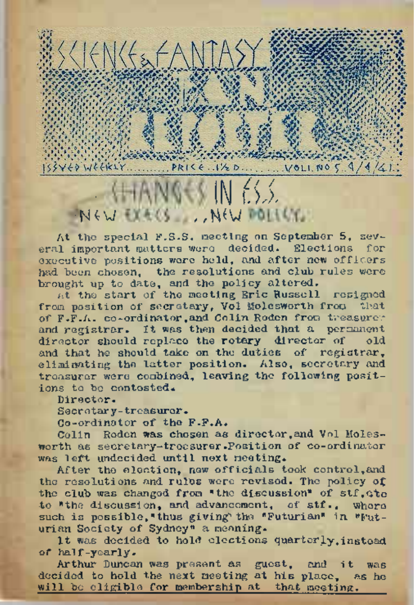# $N \in \mathcal{N}$  and  $\mathcal{N} \in \mathcal{N}$ .

At the special F.S.S. neeting on September 5, several important matters were decided. Elections for executive positions were held, and after new officers had been chosen, the resolutions and club rules were brought up to date, and the policy altered.

At the start of the meeting Eric Russell resigned from position of secretary, Vol Molesworth from that of F.F.A. co-ordinator,and Colin Roden from treasurer and registrar. It was then decided that a permanent director should replace the rotary director of old and that he should take on the duties of registrar, eliminating the latter position. Also, secretary and treasurer were combined, leaving the following positions to be contosted.

Director.

.Secretary-treasurer.

Co-ordinator of the F.F.A.

SSIENGEFANTAS

Colin Roden was chosen as director,and Vol Molesworth as secretary-treasurer.Position of co-ordinator was left undecided until next meeting.

After the election, new officials took control, and the resolutions and rules were revised. The policy of the club was changed from "the discussion" of stf.gtc to "the discussion, and advancement, of stf., where such is possible, "thus giving' the "Futurian" in "Futurian Society of Sydney" a meaning.

It was decided to hold elections quarterly,instead of half-yearly.

Arthur Duncan was present as guest, and it was decided to hold the next meeting at his place, as he will be eligible for membership at that meeting.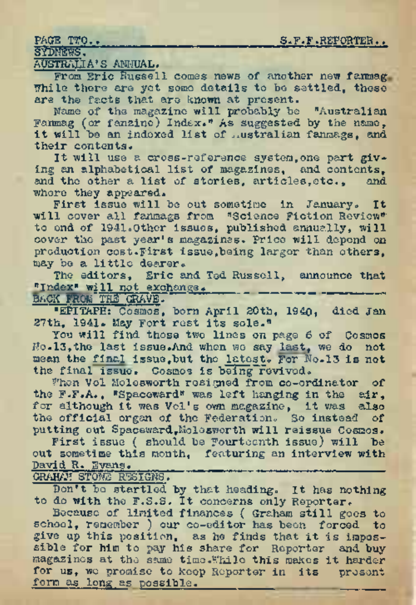PAGE TTO.. S.F.F.REPORTER..

SYDNEWS.

## AUSTRALIA'S ANNUAL.

From Eric Russell comes news of another new fanmag While there are yet some details to be settled, these are the facts that are known at present.

Name of the magazine will probably be "Australian Fanmag (or fanzine) Index." As suggested by the name, it will be an indexed list of Australian fanmags, and their contents.

It will use a cross-reference system.one part giving an alphabetical list of magazines, and contents, and the other a list of stories, articles,etc., and where they appeared.

First issue will be out sometime in January. It will cover all fanmags from "Science Fiction Review"' to end of 1941.Other issues, published annually, will cover the past year's magazines. Price will depend on production cost.First issue,being larger than others, may be a little dearer.

The editors. Eric and Ted Russell, announce that "Index" will not exchange.

BACK FROM THE GRAVE.

"EPITAPH: Cosmos, born April 20th, 1940, died Jan 27th, 1941» May Fort rest its sole."

You will find those two lines on page 6 of Cosmos No.13,the last issue.And when wo say last, we do not mean the final issue,but the latest. For No.13 is not the final issue. Cosmos is being revived.

When Vol Molosworth resigned from co-ordinator of the F.F.A., "Spaceward" was left hanging in the air, for although it was Vol's own magazine, it was also the official organ of the Federation. So instead of putting out Spaceward,Molosworth will reissue Cosmos.

First issue ( should be Fourteenth issue) will be out sometime this month, featuring an interview with David R. Evens.

GRAHAM STONE RESIGNS.

Don't be startled by that heading. It has nothing to do with the F.S.S. It concerns only Reporter.

Because of limited finances ( Graham still goes to school, remember ) our co-editor has been forced to give up this position, as he finds that it is impossible for him to pay his share for Reporter and buy magazines at the same time .While this makes it harder for us, we promise to keep Reporter in its present form as long as possible.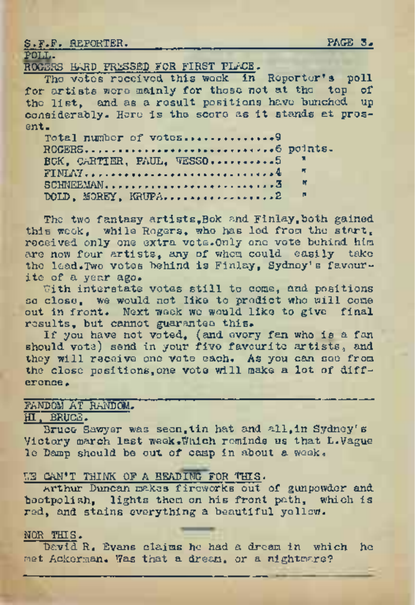|              | S.F.F. AEPORTER. |                        |  | <b>PAGE 3.</b> |  |
|--------------|------------------|------------------------|--|----------------|--|
| <b>DOT T</b> |                  | ______________________ |  |                |  |

POLL.

#### ROGERS HARD PRESSED FOR FIRST PLACE.

The votes received this week in Reporter's poll for artists wore mainly for those not at the top of the list, and as a result positions have bunched up considerably. Here is the score as it stands at present.

| ٠.                                       |                |
|------------------------------------------|----------------|
| Total number of votes9                   |                |
|                                          |                |
| BCK. CARTIER. FAUL. VESSO5               |                |
| $FIMM$ ,,,,,,,,,,,,,,,,,,,,,,,,,,,,,,,,4 | - 5            |
|                                          | $\mathbf{N}$   |
| DOLD, MOREY, KRUPA2                      | $\blacksquare$ |

Tho two fantasy artists,Bok and Finlay,both gained this week, while Rogers, who has led from the start. received only one extra vote.Only one vote behind him are now four artists, any of whom could easily take the lead.Two votes behind is Finlay, Sydney's favourite of a year ago.

With interstate votes still to come, and positions so close, we would not like to predict who will come out in front. Next week wo would like to give final results, but cannot guarantee this.

If you have not voted, (and every fan who is a fan should vote) send in your five favourite artists, and they will receive one vote each. As you can see from the close positions,one vote will make a lot of difference.

## FANDOM AT RANDOM.

HI, BRUCE.

Bruce Sawyer was seen, tin hat and all, in Sydney's Victory march last week.Which reminds us that L.Vague le Damp should be out of camp in about a week.

## LE CAN'T THINK OF A HEADING FOR THIS.

Arthur Duncan makes fireworks out of gunpowder and bootpolish, lights them on his front path, which is red, and stains everything a beautiful yellow.

#### NOR THIS.

David R. Evans claims he had a dream in which ho met Ackerman. Was that a dream, or a nightmare?